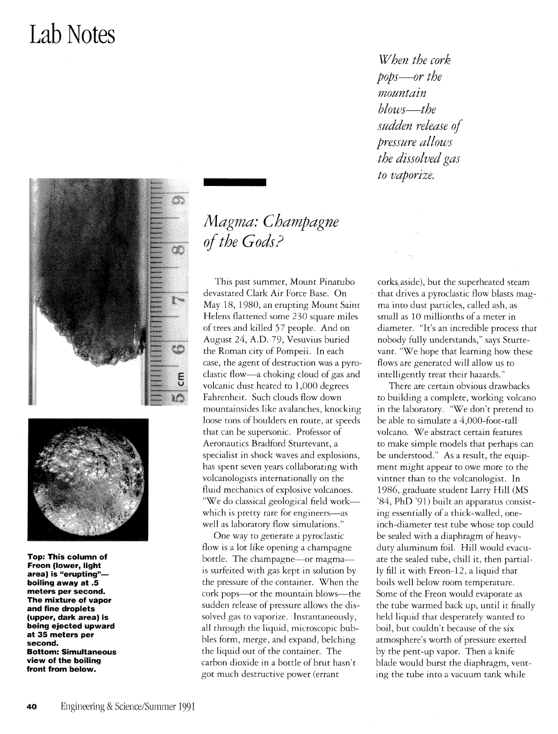## **Lab Notes**





**Top: This column of Freon (lower, light area) is "erupting" boiling away at .5 meters per second. The mixture of vapor and fine droplets (upper, dark area) is being ejected upward at 35 meters per second. Bottom: Simultaneous view of the boiling front from below.** 

## *lHagma: Champagne of the Gods?*

This past summer, Mount Pinatubo devastated Clark Air Force Base. On May 18, 1980, an erupting Mount Saint Helens flattened some 230 square miles of trees and killed 57 people. And on August 24, A.D. 79, Vesuvius buried the Roman city of Pompeii. In each case, the agent of destruction was a pyroclastic flow-a choking cloud of gas and volcanic dust heated to 1,000 degrees Fahrenheit. Such clouds flow down mountainsides like avalanches, knocking loose tons of boulders en roure, at speeds that can be supersonic. Professor of Aeronautics Bradford Sturtevant, a specialist in shock waves and explosions, has spent seven years collaborating with volcanologists internationally on the fluid mechanics of explosive volcanoes. "We do classical geological field workwhich is pretty rare for engineers-as well as laboratory flow simulations."

One way to generate a pyroclastic flow is a lot like opening a champagne bottle. The champagne-or magmais surfeited with gas kept in solurion by the pressure of the container. When the cork pops--or the mountain blows-the sudden release of pressure allows the dissolved gas to vaporize. Instantaneously, all through the liquid, microscopic bubbles form, merge, and expand, belching the liquid our of the container. The carbon dioxide in a bottle of brut hasn't got much destructive power (errant

*When the cork pops-or the mountain blows-the sudden release 0/ pressure allows the dissolved gas to vaporize.* 

corks aside), but the superheated steam that drives a pyroclastic flow blasts magma into dust particles, called ash, as small as 10 millionths of a meter in diameter. "It's an incredible process that nobody fully understands," says Sturtevant. "We hope that learning how these flows are generated will allow us to intelligently treat their hazards."

There are certain obvious drawbacks to building a complete, working volcano in the laboratory. "We don't pretend to be able to simulate a 4,000-foot-tall volcano. We abstract certain features to make simple models that perhaps can be understood." As a result, the equipment might appear to owe more to the vintner than to the volcanologist. In 1986, graduate student Larry Hill (MS '84, PhD '91) built an apparatus consisting essentially of a thick-walled, oneinch-diameter test tube whose top could be sealed with a diaphragm of heavyduty aluminum foil. Hill would evacuate the sealed tube, chill it, then partially fill it with Freon-12, a liquid that boils well below room temperature. Some of the Freon would evaporate as the tube warmed back up, until it finally held liquid that desperately wanted to boil, bur couldn't because of the six atmosphere's worth of pressure exerted by the pent-up vapor. Then a knife blade would burst the diaphragm, venting the tube into a vacuum tank while